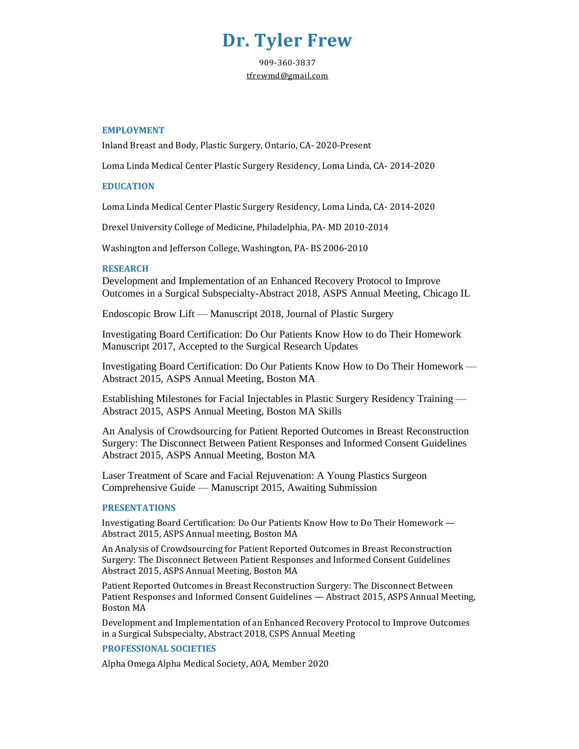# **Dr. Tyler Frew**

909-360-3837 [tfrewmd@gmail.com](mailto:tfrewmd@gmail.com)

### **EMPLOYMENT**

Inland Breast and Body, Plastic Surgery, Ontario, CA- 2020-Present

Loma Linda Medical Center Plastic Surgery Residency, Loma Linda, CA- 2014-2020

#### **EDUCATION**

Loma Linda Medical Center Plastic Surgery Residency, Loma Linda, CA- 2014-2020

Drexel University College of Medicine, Philadelphia, PA- MD 2010-2014

Washington and Jefferson College, Washington, PA- BS 2006-2010

### **RESEARCH**

Development and Implementation of an Enhanced Recovery Protocol to Improve Outcomes in a Surgical Subspecialty-Abstract 2018, ASPS Annual Meeting, Chicago IL

Endoscopic Brow Lift — Manuscript 2018, Journal of Plastic Surgery

Investigating Board Certification: Do Our Patients Know How to do Their Homework Manuscript 2017, Accepted to the Surgical Research Updates

Investigating Board Certification: Do Our Patients Know How to Do Their Homework — Abstract 2015, ASPS Annual Meeting, Boston MA

Establishing Milestones for Facial Injectables in Plastic Surgery Residency Training — Abstract 2015, ASPS Annual Meeting, Boston MA Skills

An Analysis of Crowdsourcing for Patient Reported Outcomes in Breast Reconstruction Surgery: The Disconnect Between Patient Responses and Informed Consent Guidelines Abstract 2015, ASPS Annual Meeting, Boston MA

Laser Treatment of Scare and Facial Rejuvenation: A Young Plastics Surgeon Comprehensive Guide — Manuscript 2015, Awaiting Submission

#### **PRESENTATIONS**

Investigating Board Certification: Do Our Patients Know How to Do Their Homework — Abstract 2015, ASPS Annual meeting, Boston MA

An Analysis of Crowdsourcing for Patient Reported Outcomes in Breast Reconstruction Surgery: The Disconnect Between Patient Responses and Informed Consent Guidelines Abstract 2015, ASPS Annual Meeting, Boston MA

Patient Reported Outcomes in Breast Reconstruction Surgery: The Disconnect Between Patient Responses and Informed Consent Guidelines — Abstract 2015, ASPS Annual Meeting, Boston MA

Development and Implementation of an Enhanced Recovery Protocol to Improve Outcomes in a Surgical Subspecialty, Abstract 2018, CSPS Annual Meeting

## **PROFESSIONAL SOCIETIES**

Alpha Omega Alpha Medical Society, AOA, Member 2020